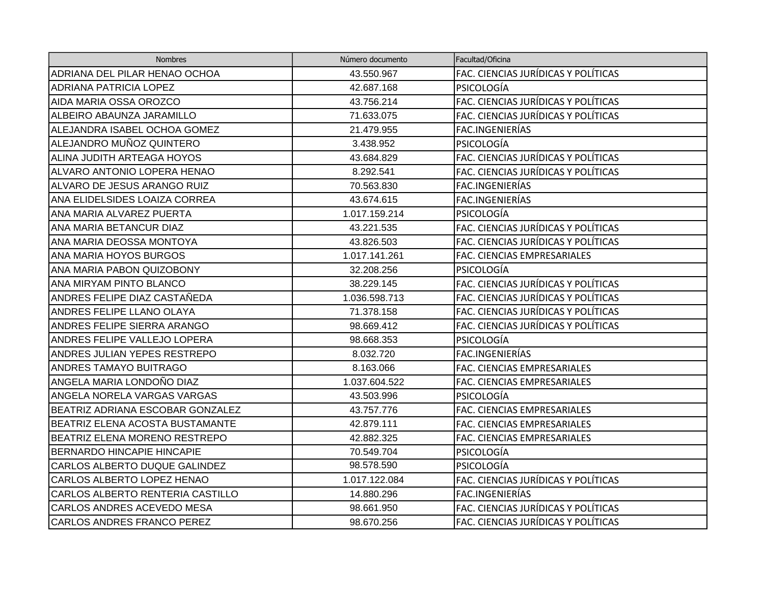| <b>Nombres</b>                      | Número documento | Facultad/Oficina                    |
|-------------------------------------|------------------|-------------------------------------|
| ADRIANA DEL PILAR HENAO OCHOA       | 43.550.967       | FAC. CIENCIAS JURÍDICAS Y POLÍTICAS |
| <b>ADRIANA PATRICIA LOPEZ</b>       | 42.687.168       | <b>PSICOLOGÍA</b>                   |
| AIDA MARIA OSSA OROZCO              | 43.756.214       | FAC. CIENCIAS JURÍDICAS Y POLÍTICAS |
| ALBEIRO ABAUNZA JARAMILLO           | 71.633.075       | FAC. CIENCIAS JURÍDICAS Y POLÍTICAS |
| ALEJANDRA ISABEL OCHOA GOMEZ        | 21.479.955       | FAC.INGENIERÍAS                     |
| ALEJANDRO MUÑOZ QUINTERO            | 3.438.952        | PSICOLOGÍA                          |
| ALINA JUDITH ARTEAGA HOYOS          | 43.684.829       | FAC. CIENCIAS JURÍDICAS Y POLÍTICAS |
| <b>ALVARO ANTONIO LOPERA HENAO</b>  | 8.292.541        | FAC. CIENCIAS JURÍDICAS Y POLÍTICAS |
| ALVARO DE JESUS ARANGO RUIZ         | 70.563.830       | FAC.INGENIERÍAS                     |
| ANA ELIDELSIDES LOAIZA CORREA       | 43.674.615       | FAC.INGENIERÍAS                     |
| ANA MARIA ALVAREZ PUERTA            | 1.017.159.214    | <b>PSICOLOGÍA</b>                   |
| ANA MARIA BETANCUR DIAZ             | 43.221.535       | FAC. CIENCIAS JURÍDICAS Y POLÍTICAS |
| ANA MARIA DEOSSA MONTOYA            | 43.826.503       | FAC. CIENCIAS JURÍDICAS Y POLÍTICAS |
| <b>ANA MARIA HOYOS BURGOS</b>       | 1.017.141.261    | FAC. CIENCIAS EMPRESARIALES         |
| ANA MARIA PABON QUIZOBONY           | 32.208.256       | PSICOLOGÍA                          |
| <b>ANA MIRYAM PINTO BLANCO</b>      | 38.229.145       | FAC. CIENCIAS JURÍDICAS Y POLÍTICAS |
| ANDRES FELIPE DIAZ CASTAÑEDA        | 1.036.598.713    | FAC. CIENCIAS JURÍDICAS Y POLÍTICAS |
| ANDRES FELIPE LLANO OLAYA           | 71.378.158       | FAC. CIENCIAS JURÍDICAS Y POLÍTICAS |
| ANDRES FELIPE SIERRA ARANGO         | 98.669.412       | FAC. CIENCIAS JURÍDICAS Y POLÍTICAS |
| ANDRES FELIPE VALLEJO LOPERA        | 98.668.353       | PSICOLOGÍA                          |
| <b>ANDRES JULIAN YEPES RESTREPO</b> | 8.032.720        | FAC.INGENIERÍAS                     |
| <b>ANDRES TAMAYO BUITRAGO</b>       | 8.163.066        | FAC. CIENCIAS EMPRESARIALES         |
| ANGELA MARIA LONDOÑO DIAZ           | 1.037.604.522    | FAC. CIENCIAS EMPRESARIALES         |
| ANGELA NORELA VARGAS VARGAS         | 43.503.996       | <b>PSICOLOGÍA</b>                   |
| BEATRIZ ADRIANA ESCOBAR GONZALEZ    | 43.757.776       | FAC. CIENCIAS EMPRESARIALES         |
| BEATRIZ ELENA ACOSTA BUSTAMANTE     | 42.879.111       | FAC. CIENCIAS EMPRESARIALES         |
| BEATRIZ ELENA MORENO RESTREPO       | 42.882.325       | FAC. CIENCIAS EMPRESARIALES         |
| <b>BERNARDO HINCAPIE HINCAPIE</b>   | 70.549.704       | <b>PSICOLOGÍA</b>                   |
| CARLOS ALBERTO DUQUE GALINDEZ       | 98.578.590       | PSICOLOGÍA                          |
| CARLOS ALBERTO LOPEZ HENAO          | 1.017.122.084    | FAC. CIENCIAS JURÍDICAS Y POLÍTICAS |
| CARLOS ALBERTO RENTERIA CASTILLO    | 14.880.296       | FAC.INGENIERÍAS                     |
| <b>CARLOS ANDRES ACEVEDO MESA</b>   | 98.661.950       | FAC. CIENCIAS JURÍDICAS Y POLÍTICAS |
| <b>CARLOS ANDRES FRANCO PEREZ</b>   | 98.670.256       | FAC. CIENCIAS JURÍDICAS Y POLÍTICAS |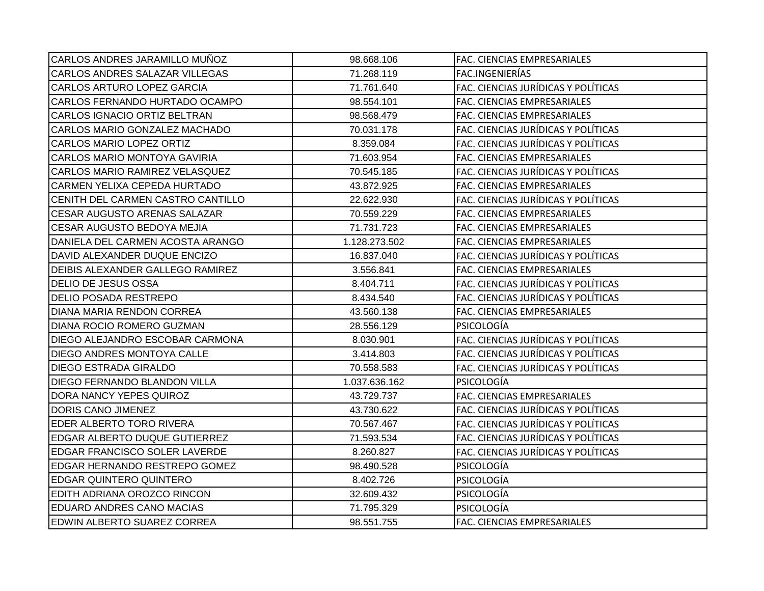| 98.668.106    | FAC. CIENCIAS EMPRESARIALES         |
|---------------|-------------------------------------|
| 71.268.119    | FAC.INGENIERÍAS                     |
| 71.761.640    | FAC. CIENCIAS JURÍDICAS Y POLÍTICAS |
| 98.554.101    | FAC. CIENCIAS EMPRESARIALES         |
| 98.568.479    | FAC. CIENCIAS EMPRESARIALES         |
| 70.031.178    | FAC. CIENCIAS JURÍDICAS Y POLÍTICAS |
| 8.359.084     | FAC. CIENCIAS JURÍDICAS Y POLÍTICAS |
| 71.603.954    | FAC. CIENCIAS EMPRESARIALES         |
| 70.545.185    | FAC. CIENCIAS JURÍDICAS Y POLÍTICAS |
| 43.872.925    | FAC. CIENCIAS EMPRESARIALES         |
| 22.622.930    | FAC. CIENCIAS JURÍDICAS Y POLÍTICAS |
| 70.559.229    | FAC. CIENCIAS EMPRESARIALES         |
| 71.731.723    | FAC. CIENCIAS EMPRESARIALES         |
| 1.128.273.502 | FAC. CIENCIAS EMPRESARIALES         |
| 16.837.040    | FAC. CIENCIAS JURÍDICAS Y POLÍTICAS |
| 3.556.841     | FAC. CIENCIAS EMPRESARIALES         |
| 8.404.711     | FAC. CIENCIAS JURÍDICAS Y POLÍTICAS |
| 8.434.540     | FAC. CIENCIAS JURÍDICAS Y POLÍTICAS |
| 43.560.138    | FAC. CIENCIAS EMPRESARIALES         |
| 28.556.129    | PSICOLOGÍA                          |
| 8.030.901     | FAC. CIENCIAS JURÍDICAS Y POLÍTICAS |
| 3.414.803     | FAC. CIENCIAS JURÍDICAS Y POLÍTICAS |
| 70.558.583    | FAC. CIENCIAS JURÍDICAS Y POLÍTICAS |
| 1.037.636.162 | PSICOLOGÍA                          |
| 43.729.737    | FAC. CIENCIAS EMPRESARIALES         |
| 43.730.622    | FAC. CIENCIAS JURÍDICAS Y POLÍTICAS |
| 70.567.467    | FAC. CIENCIAS JURÍDICAS Y POLÍTICAS |
| 71.593.534    | FAC. CIENCIAS JURÍDICAS Y POLÍTICAS |
| 8.260.827     | FAC. CIENCIAS JURÍDICAS Y POLÍTICAS |
| 98.490.528    | PSICOLOGÍA                          |
| 8.402.726     | PSICOLOGÍA                          |
| 32.609.432    | PSICOLOGÍA                          |
| 71.795.329    | PSICOLOGÍA                          |
| 98.551.755    | FAC. CIENCIAS EMPRESARIALES         |
|               |                                     |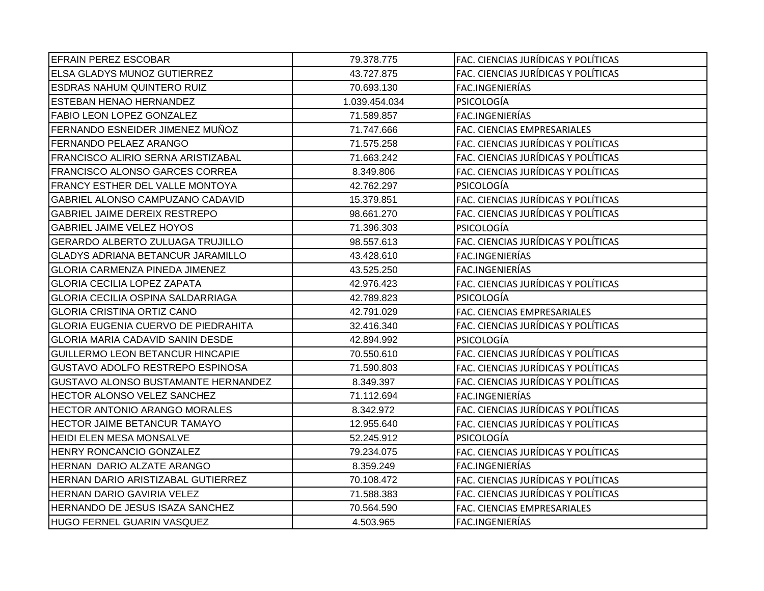| <b>EFRAIN PEREZ ESCOBAR</b>                | 79.378.775    | FAC. CIENCIAS JURÍDICAS Y POLÍTICAS |
|--------------------------------------------|---------------|-------------------------------------|
| <b>ELSA GLADYS MUNOZ GUTIERREZ</b>         | 43.727.875    | FAC. CIENCIAS JURÍDICAS Y POLÍTICAS |
| <b>ESDRAS NAHUM QUINTERO RUIZ</b>          | 70.693.130    | FAC.INGENIERÍAS                     |
| <b>ESTEBAN HENAO HERNANDEZ</b>             | 1.039.454.034 | PSICOLOGÍA                          |
| <b>FABIO LEON LOPEZ GONZALEZ</b>           | 71.589.857    | FAC.INGENIERÍAS                     |
| FERNANDO ESNEIDER JIMENEZ MUÑOZ            | 71.747.666    | FAC. CIENCIAS EMPRESARIALES         |
| FERNANDO PELAEZ ARANGO                     | 71.575.258    | FAC. CIENCIAS JURÍDICAS Y POLÍTICAS |
| <b>FRANCISCO ALIRIO SERNA ARISTIZABAL</b>  | 71.663.242    | FAC. CIENCIAS JURÍDICAS Y POLÍTICAS |
| <b>FRANCISCO ALONSO GARCES CORREA</b>      | 8.349.806     | FAC. CIENCIAS JURÍDICAS Y POLÍTICAS |
| FRANCY ESTHER DEL VALLE MONTOYA            | 42.762.297    | PSICOLOGÍA                          |
| GABRIEL ALONSO CAMPUZANO CADAVID           | 15.379.851    | FAC. CIENCIAS JURÍDICAS Y POLÍTICAS |
| <b>GABRIEL JAIME DEREIX RESTREPO</b>       | 98.661.270    | FAC. CIENCIAS JURÍDICAS Y POLÍTICAS |
| <b>GABRIEL JAIME VELEZ HOYOS</b>           | 71.396.303    | <b>PSICOLOGÍA</b>                   |
| <b>GERARDO ALBERTO ZULUAGA TRUJILLO</b>    | 98.557.613    | FAC. CIENCIAS JURÍDICAS Y POLÍTICAS |
| <b>GLADYS ADRIANA BETANCUR JARAMILLO</b>   | 43.428.610    | FAC.INGENIERÍAS                     |
| <b>GLORIA CARMENZA PINEDA JIMENEZ</b>      | 43.525.250    | FAC.INGENIERÍAS                     |
| <b>GLORIA CECILIA LOPEZ ZAPATA</b>         | 42.976.423    | FAC. CIENCIAS JURÍDICAS Y POLÍTICAS |
| <b>GLORIA CECILIA OSPINA SALDARRIAGA</b>   | 42.789.823    | PSICOLOGÍA                          |
| <b>GLORIA CRISTINA ORTIZ CANO</b>          | 42.791.029    | FAC. CIENCIAS EMPRESARIALES         |
| <b>GLORIA EUGENIA CUERVO DE PIEDRAHITA</b> | 32.416.340    | FAC. CIENCIAS JURÍDICAS Y POLÍTICAS |
| GLORIA MARIA CADAVID SANIN DESDE           | 42.894.992    | <b>PSICOLOGÍA</b>                   |
| <b>GUILLERMO LEON BETANCUR HINCAPIE</b>    | 70.550.610    | FAC. CIENCIAS JURÍDICAS Y POLÍTICAS |
| GUSTAVO ADOLFO RESTREPO ESPINOSA           | 71.590.803    | FAC. CIENCIAS JURÍDICAS Y POLÍTICAS |
| GUSTAVO ALONSO BUSTAMANTE HERNANDEZ        | 8.349.397     | FAC. CIENCIAS JURÍDICAS Y POLÍTICAS |
| HECTOR ALONSO VELEZ SANCHEZ                | 71.112.694    | FAC.INGENIERÍAS                     |
| <b>HECTOR ANTONIO ARANGO MORALES</b>       | 8.342.972     | FAC. CIENCIAS JURÍDICAS Y POLÍTICAS |
| HECTOR JAIME BETANCUR TAMAYO               | 12.955.640    | FAC. CIENCIAS JURÍDICAS Y POLÍTICAS |
| <b>HEIDI ELEN MESA MONSALVE</b>            | 52.245.912    | <b>PSICOLOGIA</b>                   |
| HENRY RONCANCIO GONZALEZ                   | 79.234.075    | FAC. CIENCIAS JURÍDICAS Y POLÍTICAS |
| HERNAN DARIO ALZATE ARANGO                 | 8.359.249     | FAC.INGENIERÍAS                     |
| HERNAN DARIO ARISTIZABAL GUTIERREZ         | 70.108.472    | FAC. CIENCIAS JURÍDICAS Y POLÍTICAS |
| HERNAN DARIO GAVIRIA VELEZ                 | 71.588.383    | FAC. CIENCIAS JURÍDICAS Y POLÍTICAS |
| HERNANDO DE JESUS ISAZA SANCHEZ            | 70.564.590    | FAC. CIENCIAS EMPRESARIALES         |
| HUGO FERNEL GUARIN VASQUEZ                 | 4.503.965     | FAC.INGENIERÍAS                     |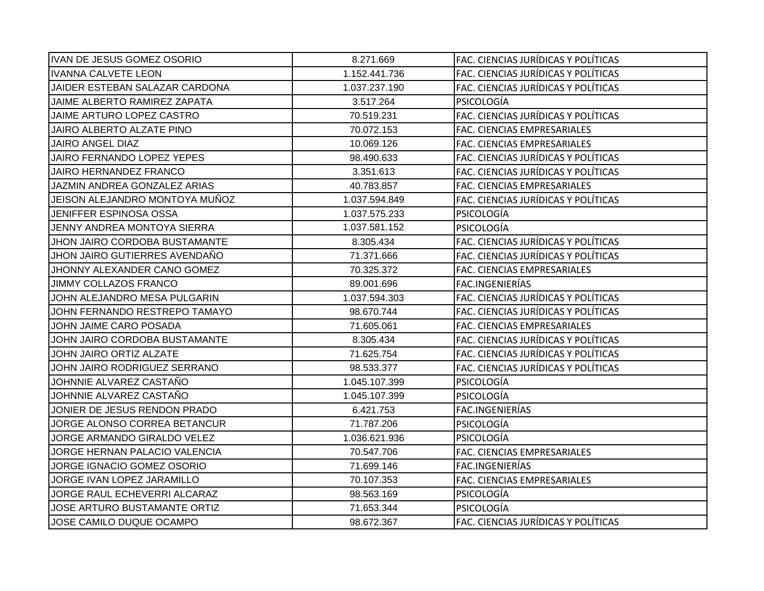| IVAN DE JESUS GOMEZ OSORIO         | 8.271.669     | FAC. CIENCIAS JURÍDICAS Y POLÍTICAS |
|------------------------------------|---------------|-------------------------------------|
| <b>IVANNA CALVETE LEON</b>         | 1.152.441.736 | FAC. CIENCIAS JURÍDICAS Y POLÍTICAS |
| JAIDER ESTEBAN SALAZAR CARDONA     | 1.037.237.190 | FAC. CIENCIAS JURÍDICAS Y POLÍTICAS |
| JAIME ALBERTO RAMIREZ ZAPATA       | 3.517.264     | PSICOLOGÍA                          |
| JAIME ARTURO LOPEZ CASTRO          | 70.519.231    | FAC. CIENCIAS JURÍDICAS Y POLÍTICAS |
| JAIRO ALBERTO ALZATE PINO          | 70.072.153    | FAC. CIENCIAS EMPRESARIALES         |
| JAIRO ANGEL DIAZ                   | 10.069.126    | FAC. CIENCIAS EMPRESARIALES         |
| JAIRO FERNANDO LOPEZ YEPES         | 98.490.633    | FAC. CIENCIAS JURÍDICAS Y POLÍTICAS |
| JAIRO HERNANDEZ FRANCO             | 3.351.613     | FAC. CIENCIAS JURÍDICAS Y POLÍTICAS |
| JAZMIN ANDREA GONZALEZ ARIAS       | 40.783.857    | FAC. CIENCIAS EMPRESARIALES         |
| JEISON ALEJANDRO MONTOYA MUÑOZ     | 1.037.594.849 | FAC. CIENCIAS JURÍDICAS Y POLÍTICAS |
| <b>JENIFFER ESPINOSA OSSA</b>      | 1.037.575.233 | PSICOLOGÍA                          |
| <b>JENNY ANDREA MONTOYA SIERRA</b> | 1.037.581.152 | PSICOLOGÍA                          |
| JHON JAIRO CORDOBA BUSTAMANTE      | 8.305.434     | FAC. CIENCIAS JURÍDICAS Y POLÍTICAS |
| JHON JAIRO GUTIERRES AVENDAÑO      | 71.371.666    | FAC. CIENCIAS JURÍDICAS Y POLÍTICAS |
| JHONNY ALEXANDER CANO GOMEZ        | 70.325.372    | FAC. CIENCIAS EMPRESARIALES         |
| <b>JIMMY COLLAZOS FRANCO</b>       | 89.001.696    | FAC.INGENIERÍAS                     |
| JOHN ALEJANDRO MESA PULGARIN       | 1.037.594.303 | FAC. CIENCIAS JURÍDICAS Y POLÍTICAS |
| JOHN FERNANDO RESTREPO TAMAYO      | 98.670.744    | FAC. CIENCIAS JURÍDICAS Y POLÍTICAS |
| JOHN JAIME CARO POSADA             | 71.605.061    | FAC. CIENCIAS EMPRESARIALES         |
| JOHN JAIRO CORDOBA BUSTAMANTE      | 8.305.434     | FAC. CIENCIAS JURÍDICAS Y POLÍTICAS |
| <b>JOHN JAIRO ORTIZ ALZATE</b>     | 71.625.754    | FAC. CIENCIAS JURÍDICAS Y POLÍTICAS |
| JOHN JAIRO RODRIGUEZ SERRANO       | 98.533.377    | FAC. CIENCIAS JURÍDICAS Y POLÍTICAS |
| JOHNNIE ALVAREZ CASTAÑO            | 1.045.107.399 | PSICOLOGÍA                          |
| JOHNNIE ALVAREZ CASTAÑO            | 1.045.107.399 | PSICOLOGÍA                          |
| JONIER DE JESUS RENDON PRADO       | 6.421.753     | FAC.INGENIERÍAS                     |
| JORGE ALONSO CORREA BETANCUR       | 71.787.206    | PSICOLOGÍA                          |
| JORGE ARMANDO GIRALDO VELEZ        | 1.036.621.936 | PSICOLOGÍA                          |
| JORGE HERNAN PALACIO VALENCIA      | 70.547.706    | FAC. CIENCIAS EMPRESARIALES         |
| JORGE IGNACIO GOMEZ OSORIO         | 71.699.146    | FAC.INGENIERÍAS                     |
| JORGE IVAN LOPEZ JARAMILLO         | 70.107.353    | FAC. CIENCIAS EMPRESARIALES         |
| JORGE RAUL ECHEVERRI ALCARAZ       | 98.563.169    | PSICOLOGÍA                          |
| JOSE ARTURO BUSTAMANTE ORTIZ       | 71.653.344    | PSICOLOGÍA                          |
| JOSE CAMILO DUQUE OCAMPO           | 98.672.367    | FAC. CIENCIAS JURÍDICAS Y POLÍTICAS |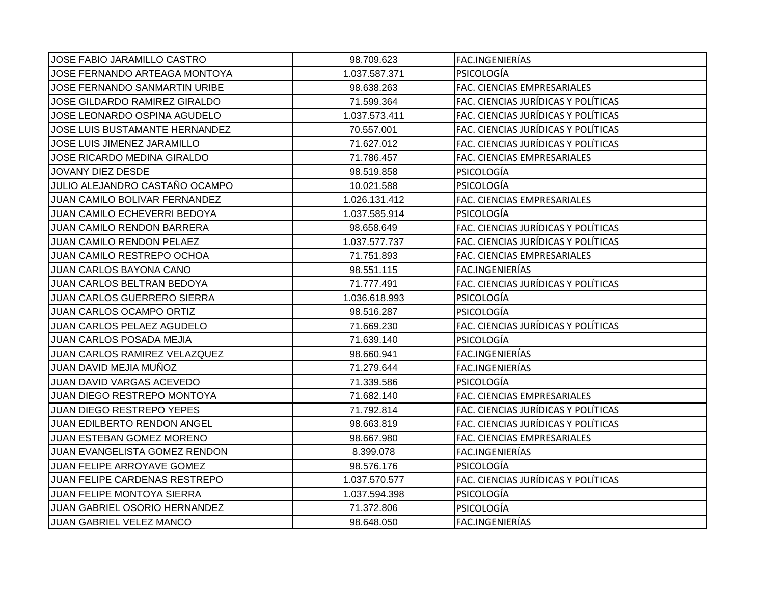| <b>JOSE FABIO JARAMILLO CASTRO</b>  | 98.709.623    | FAC.INGENIERÍAS                     |
|-------------------------------------|---------------|-------------------------------------|
| JOSE FERNANDO ARTEAGA MONTOYA       | 1.037.587.371 | PSICOLOGÍA                          |
| JOSE FERNANDO SANMARTIN URIBE       | 98.638.263    | FAC. CIENCIAS EMPRESARIALES         |
| JOSE GILDARDO RAMIREZ GIRALDO       | 71.599.364    | FAC. CIENCIAS JURÍDICAS Y POLÍTICAS |
| JOSE LEONARDO OSPINA AGUDELO        | 1.037.573.411 | FAC. CIENCIAS JURÍDICAS Y POLÍTICAS |
| JOSE LUIS BUSTAMANTE HERNANDEZ      | 70.557.001    | FAC. CIENCIAS JURÍDICAS Y POLÍTICAS |
| JOSE LUIS JIMENEZ JARAMILLO         | 71.627.012    | FAC. CIENCIAS JURÍDICAS Y POLÍTICAS |
| JOSE RICARDO MEDINA GIRALDO         | 71.786.457    | FAC. CIENCIAS EMPRESARIALES         |
| JOVANY DIEZ DESDE                   | 98.519.858    | PSICOLOGÍA                          |
| JULIO ALEJANDRO CASTAÑO OCAMPO      | 10.021.588    | PSICOLOGÍA                          |
| JUAN CAMILO BOLIVAR FERNANDEZ       | 1.026.131.412 | FAC. CIENCIAS EMPRESARIALES         |
| <b>JUAN CAMILO ECHEVERRI BEDOYA</b> | 1.037.585.914 | PSICOLOGÍA                          |
| <b>JUAN CAMILO RENDON BARRERA</b>   | 98.658.649    | FAC. CIENCIAS JURÍDICAS Y POLÍTICAS |
| <b>JUAN CAMILO RENDON PELAEZ</b>    | 1.037.577.737 | FAC. CIENCIAS JURÍDICAS Y POLÍTICAS |
| JUAN CAMILO RESTREPO OCHOA          | 71.751.893    | FAC. CIENCIAS EMPRESARIALES         |
| JUAN CARLOS BAYONA CANO             | 98.551.115    | FAC.INGENIERÍAS                     |
| JUAN CARLOS BELTRAN BEDOYA          | 71.777.491    | FAC. CIENCIAS JURÍDICAS Y POLÍTICAS |
| <b>JUAN CARLOS GUERRERO SIERRA</b>  | 1.036.618.993 | PSICOLOGÍA                          |
| <b>JUAN CARLOS OCAMPO ORTIZ</b>     | 98.516.287    | PSICOLOGÍA                          |
| JUAN CARLOS PELAEZ AGUDELO          | 71.669.230    | FAC. CIENCIAS JURÍDICAS Y POLÍTICAS |
| <b>JUAN CARLOS POSADA MEJIA</b>     | 71.639.140    | <b>PSICOLOGÍA</b>                   |
| JUAN CARLOS RAMIREZ VELAZQUEZ       | 98.660.941    | FAC.INGENIERÍAS                     |
| JUAN DAVID MEJIA MUÑOZ              | 71.279.644    | FAC.INGENIERÍAS                     |
| <b>JUAN DAVID VARGAS ACEVEDO</b>    | 71.339.586    | PSICOLOGÍA                          |
| JUAN DIEGO RESTREPO MONTOYA         | 71.682.140    | FAC. CIENCIAS EMPRESARIALES         |
| <b>JUAN DIEGO RESTREPO YEPES</b>    | 71.792.814    | FAC. CIENCIAS JURÍDICAS Y POLÍTICAS |
| JUAN EDILBERTO RENDON ANGEL         | 98.663.819    | FAC. CIENCIAS JURÍDICAS Y POLÍTICAS |
| <b>JUAN ESTEBAN GOMEZ MORENO</b>    | 98.667.980    | FAC. CIENCIAS EMPRESARIALES         |
| JUAN EVANGELISTA GOMEZ RENDON       | 8.399.078     | FAC.INGENIERÍAS                     |
| JUAN FELIPE ARROYAVE GOMEZ          | 98.576.176    | <b>PSICOLOGÍA</b>                   |
| JUAN FELIPE CARDENAS RESTREPO       | 1.037.570.577 | FAC. CIENCIAS JURÍDICAS Y POLÍTICAS |
| <b>JUAN FELIPE MONTOYA SIERRA</b>   | 1.037.594.398 | PSICOLOGÍA                          |
| JUAN GABRIEL OSORIO HERNANDEZ       | 71.372.806    | PSICOLOGÍA                          |
| JUAN GABRIEL VELEZ MANCO            | 98.648.050    | FAC.INGENIERÍAS                     |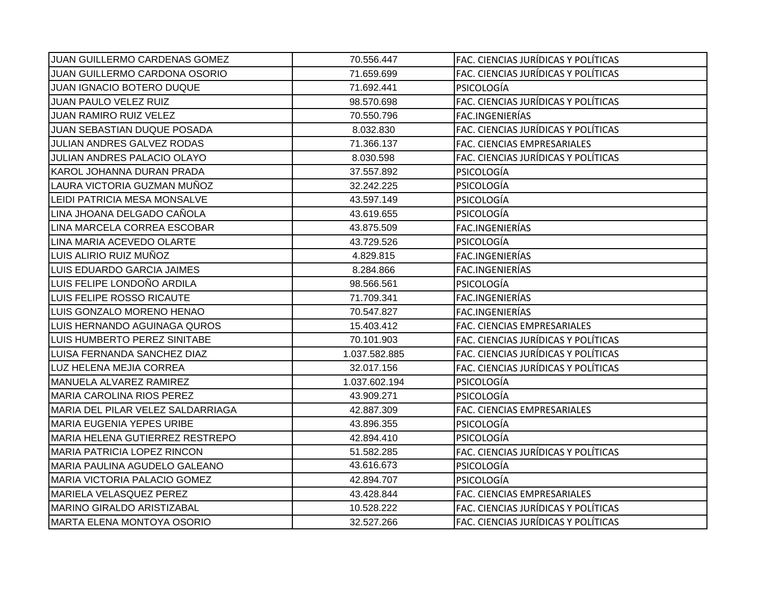| JUAN GUILLERMO CARDENAS GOMEZ        | 70.556.447    | FAC. CIENCIAS JURÍDICAS Y POLÍTICAS |
|--------------------------------------|---------------|-------------------------------------|
| <b>JUAN GUILLERMO CARDONA OSORIO</b> | 71.659.699    | FAC. CIENCIAS JURÍDICAS Y POLÍTICAS |
| <b>JUAN IGNACIO BOTERO DUQUE</b>     | 71.692.441    | PSICOLOGÍA                          |
| JUAN PAULO VELEZ RUIZ                | 98.570.698    | FAC. CIENCIAS JURÍDICAS Y POLÍTICAS |
| <b>JUAN RAMIRO RUIZ VELEZ</b>        | 70.550.796    | FAC.INGENIERÍAS                     |
| JUAN SEBASTIAN DUQUE POSADA          | 8.032.830     | FAC. CIENCIAS JURÍDICAS Y POLÍTICAS |
| JULIAN ANDRES GALVEZ RODAS           | 71.366.137    | FAC. CIENCIAS EMPRESARIALES         |
| JULIAN ANDRES PALACIO OLAYO          | 8.030.598     | FAC. CIENCIAS JURÍDICAS Y POLÍTICAS |
| KAROL JOHANNA DURAN PRADA            | 37.557.892    | <b>PSICOLOGÍA</b>                   |
| LAURA VICTORIA GUZMAN MUÑOZ          | 32.242.225    | PSICOLOGÍA                          |
| LEIDI PATRICIA MESA MONSALVE         | 43.597.149    | PSICOLOGÍA                          |
| LINA JHOANA DELGADO CAÑOLA           | 43.619.655    | <b>PSICOLOGÍA</b>                   |
| LINA MARCELA CORREA ESCOBAR          | 43.875.509    | FAC.INGENIERÍAS                     |
| LINA MARIA ACEVEDO OLARTE            | 43.729.526    | <b>PSICOLOGÍA</b>                   |
| LUIS ALIRIO RUIZ MUÑOZ               | 4.829.815     | FAC.INGENIERÍAS                     |
| LUIS EDUARDO GARCIA JAIMES           | 8.284.866     | FAC.INGENIERÍAS                     |
| LUIS FELIPE LONDOÑO ARDILA           | 98.566.561    | PSICOLOGÍA                          |
| LUIS FELIPE ROSSO RICAUTE            | 71.709.341    | FAC.INGENIERÍAS                     |
| LUIS GONZALO MORENO HENAO            | 70.547.827    | FAC.INGENIERÍAS                     |
| LUIS HERNANDO AGUINAGA QUROS         | 15.403.412    | FAC. CIENCIAS EMPRESARIALES         |
| LUIS HUMBERTO PEREZ SINITABE         | 70.101.903    | FAC. CIENCIAS JURÍDICAS Y POLÍTICAS |
| LUISA FERNANDA SANCHEZ DIAZ          | 1.037.582.885 | FAC. CIENCIAS JURÍDICAS Y POLÍTICAS |
| LUZ HELENA MEJIA CORREA              | 32.017.156    | FAC. CIENCIAS JURÍDICAS Y POLÍTICAS |
| MANUELA ALVAREZ RAMIREZ              | 1.037.602.194 | PSICOLOGÍA                          |
| <b>MARIA CAROLINA RIOS PEREZ</b>     | 43.909.271    | PSICOLOGÍA                          |
| MARIA DEL PILAR VELEZ SALDARRIAGA    | 42.887.309    | FAC. CIENCIAS EMPRESARIALES         |
| MARIA EUGENIA YEPES URIBE            | 43.896.355    | PSICOLOGÍA                          |
| MARIA HELENA GUTIERREZ RESTREPO      | 42.894.410    | PSICOLOGÍA                          |
| MARIA PATRICIA LOPEZ RINCON          | 51.582.285    | FAC. CIENCIAS JURÍDICAS Y POLÍTICAS |
| MARIA PAULINA AGUDELO GALEANO        | 43.616.673    | PSICOLOGÍA                          |
| <b>MARIA VICTORIA PALACIO GOMEZ</b>  | 42.894.707    | PSICOLOGÍA                          |
| MARIELA VELASQUEZ PEREZ              | 43.428.844    | FAC. CIENCIAS EMPRESARIALES         |
| MARINO GIRALDO ARISTIZABAL           | 10.528.222    | FAC. CIENCIAS JURÍDICAS Y POLÍTICAS |
| <b>MARTA ELENA MONTOYA OSORIO</b>    | 32.527.266    | FAC. CIENCIAS JURÍDICAS Y POLÍTICAS |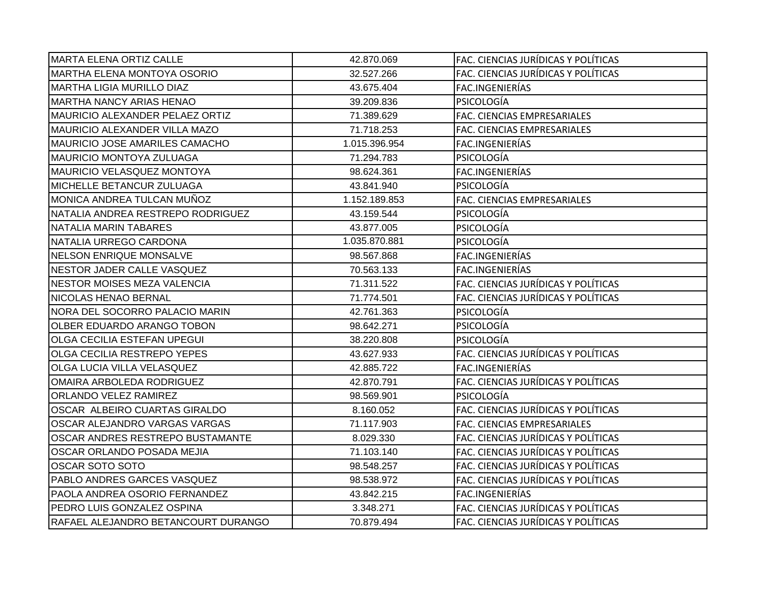| MARTA ELENA ORTIZ CALLE                | 42.870.069    | FAC. CIENCIAS JURÍDICAS Y POLÍTICAS |
|----------------------------------------|---------------|-------------------------------------|
| <b>IMARTHA ELENA MONTOYA OSORIO</b>    | 32.527.266    | FAC. CIENCIAS JURÍDICAS Y POLÍTICAS |
| MARTHA LIGIA MURILLO DIAZ              | 43.675.404    | FAC.INGENIERÍAS                     |
| MARTHA NANCY ARIAS HENAO               | 39.209.836    | <b>PSICOLOGÍA</b>                   |
| <b>MAURICIO ALEXANDER PELAEZ ORTIZ</b> | 71.389.629    | FAC. CIENCIAS EMPRESARIALES         |
| MAURICIO ALEXANDER VILLA MAZO          | 71.718.253    | FAC. CIENCIAS EMPRESARIALES         |
| <b>MAURICIO JOSE AMARILES CAMACHO</b>  | 1.015.396.954 | FAC.INGENIERÍAS                     |
| <b>MAURICIO MONTOYA ZULUAGA</b>        | 71.294.783    | PSICOLOGÍA                          |
| <b>MAURICIO VELASQUEZ MONTOYA</b>      | 98.624.361    | FAC.INGENIERÍAS                     |
| MICHELLE BETANCUR ZULUAGA              | 43.841.940    | PSICOLOGÍA                          |
| MONICA ANDREA TULCAN MUÑOZ             | 1.152.189.853 | FAC. CIENCIAS EMPRESARIALES         |
| NATALIA ANDREA RESTREPO RODRIGUEZ      | 43.159.544    | PSICOLOGÍA                          |
| <b>NATALIA MARIN TABARES</b>           | 43.877.005    | <b>PSICOLOGÍA</b>                   |
| NATALIA URREGO CARDONA                 | 1.035.870.881 | <b>PSICOLOGÍA</b>                   |
| NELSON ENRIQUE MONSALVE                | 98.567.868    | FAC.INGENIERÍAS                     |
| NESTOR JADER CALLE VASQUEZ             | 70.563.133    | FAC.INGENIERÍAS                     |
| NESTOR MOISES MEZA VALENCIA            | 71.311.522    | FAC. CIENCIAS JURÍDICAS Y POLÍTICAS |
| NICOLAS HENAO BERNAL                   | 71.774.501    | FAC. CIENCIAS JURÍDICAS Y POLÍTICAS |
| NORA DEL SOCORRO PALACIO MARIN         | 42.761.363    | <b>PSICOLOGÍA</b>                   |
| <b>OLBER EDUARDO ARANGO TOBON</b>      | 98.642.271    | <b>PSICOLOGÍA</b>                   |
| OLGA CECILIA ESTEFAN UPEGUI            | 38.220.808    | <b>PSICOLOGÍA</b>                   |
| OLGA CECILIA RESTREPO YEPES            | 43.627.933    | FAC. CIENCIAS JURÍDICAS Y POLÍTICAS |
| OLGA LUCIA VILLA VELASQUEZ             | 42.885.722    | FAC.INGENIERÍAS                     |
| OMAIRA ARBOLEDA RODRIGUEZ              | 42.870.791    | FAC. CIENCIAS JURÍDICAS Y POLÍTICAS |
| <b>ORLANDO VELEZ RAMIREZ</b>           | 98.569.901    | PSICOLOGÍA                          |
| OSCAR ALBEIRO CUARTAS GIRALDO          | 8.160.052     | FAC. CIENCIAS JURÍDICAS Y POLÍTICAS |
| OSCAR ALEJANDRO VARGAS VARGAS          | 71.117.903    | FAC. CIENCIAS EMPRESARIALES         |
| OSCAR ANDRES RESTREPO BUSTAMANTE       | 8.029.330     | FAC. CIENCIAS JURÍDICAS Y POLÍTICAS |
| OSCAR ORLANDO POSADA MEJIA             | 71.103.140    | FAC. CIENCIAS JURÍDICAS Y POLÍTICAS |
| OSCAR SOTO SOTO                        | 98.548.257    | FAC. CIENCIAS JURÍDICAS Y POLÍTICAS |
| PABLO ANDRES GARCES VASQUEZ            | 98.538.972    | FAC. CIENCIAS JURÍDICAS Y POLÍTICAS |
| PAOLA ANDREA OSORIO FERNANDEZ          | 43.842.215    | FAC.INGENIERÍAS                     |
| PEDRO LUIS GONZALEZ OSPINA             | 3.348.271     | FAC. CIENCIAS JURÍDICAS Y POLÍTICAS |
| RAFAEL ALEJANDRO BETANCOURT DURANGO    | 70.879.494    | FAC. CIENCIAS JURÍDICAS Y POLÍTICAS |